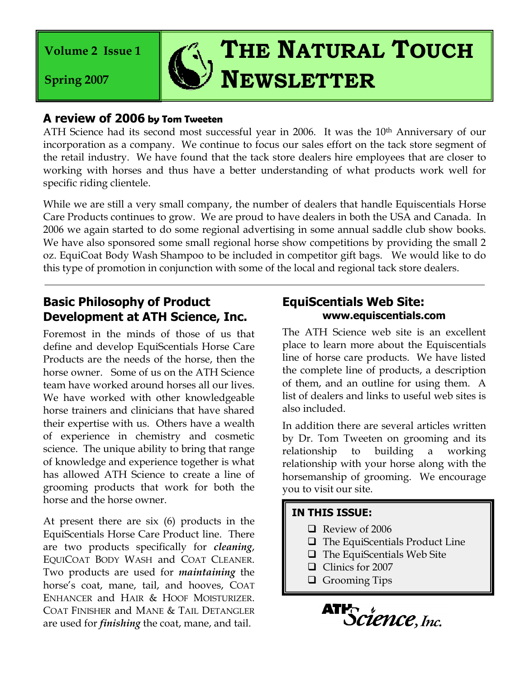**Volume 2 Issue 1**

**Spring 2007**

# **THE NATURAL TOUCH NEWSLETTER**

### **A review of 2006 by Tom Tweeten**

ATH Science had its second most successful year in 2006. It was the 10<sup>th</sup> Anniversary of our incorporation as a company. We continue to focus our sales effort on the tack store segment of the retail industry. We have found that the tack store dealers hire employees that are closer to working with horses and thus have a better understanding of what products work well for specific riding clientele.

While we are still a very small company, the number of dealers that handle Equiscentials Horse Care Products continues to grow. We are proud to have dealers in both the USA and Canada. In 2006 we again started to do some regional advertising in some annual saddle club show books. We have also sponsored some small regional horse show competitions by providing the small 2 oz. EquiCoat Body Wash Shampoo to be included in competitor gift bags. We would like to do this type of promotion in conjunction with some of the local and regional tack store dealers.

## **Basic Philosophy of Product Development at ATH Science, Inc.**

Foremost in the minds of those of us that define and develop EquiScentials Horse Care Products are the needs of the horse, then the horse owner. Some of us on the ATH Science team have worked around horses all our lives. We have worked with other knowledgeable horse trainers and clinicians that have shared their expertise with us. Others have a wealth of experience in chemistry and cosmetic science. The unique ability to bring that range of knowledge and experience together is what has allowed ATH Science to create a line of grooming products that work for both the horse and the horse owner.

At present there are six (6) products in the EquiScentials Horse Care Product line. There are two products specifically for *cleaning*, EQUICOAT BODY WASH and COAT CLEANER. Two products are used for *maintaining* the horse's coat, mane, tail, and hooves, COAT ENHANCER and HAIR & HOOF MOISTURIZER. COAT FINISHER and MANE & TAIL DETANGLER are used for *finishing* the coat, mane, and tail.

## **EquiScentials Web Site: [www.equiscentials.com](http://www.equiscentials.com/)**

The ATH Science web site is an excellent place to learn more about the Equiscentials line of horse care products. We have listed the complete line of products, a description of them, and an outline for using them. A list of dealers and links to useful web sites is also included.

In addition there are several articles written by Dr. Tom Tweeten on grooming and its relationship to building a working relationship with your horse along with the horsemanship of grooming. We encourage you to visit our site.

#### **IN THIS ISSUE:**

- Review of 2006
- $\Box$  The EquiScentials Product Line
- $\Box$  The EquiScentials Web Site
- Clinics for 2007
- **Q** Grooming Tips

ATP<sub>Science, Inc.</sub>